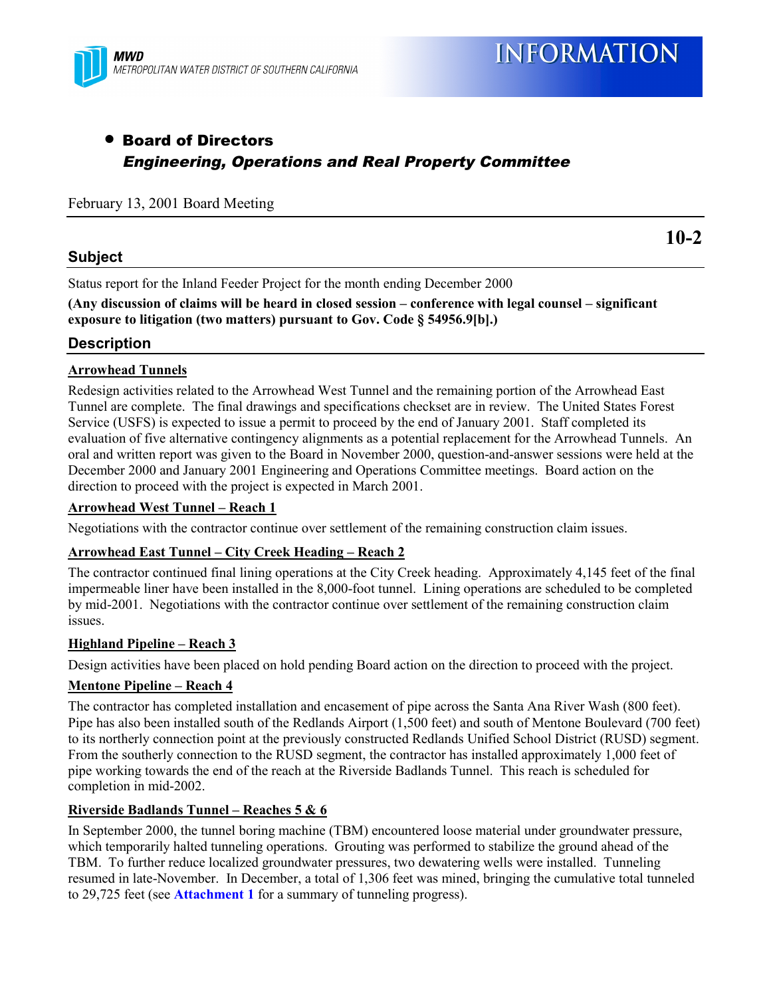

# • Board of Directors Engineering, Operations and Real Property Committee

### February 13, 2001 Board Meeting

#### **Subject**

**10-2**

Status report for the Inland Feeder Project for the month ending December 2000

**(Any discussion of claims will be heard in closed session – conference with legal counsel – significant exposure to litigation (two matters) pursuant to Gov. Code § 54956.9[b].)**

### **Description**

#### **Arrowhead Tunnels**

Redesign activities related to the Arrowhead West Tunnel and the remaining portion of the Arrowhead East Tunnel are complete. The final drawings and specifications checkset are in review. The United States Forest Service (USFS) is expected to issue a permit to proceed by the end of January 2001. Staff completed its evaluation of five alternative contingency alignments as a potential replacement for the Arrowhead Tunnels. An oral and written report was given to the Board in November 2000, question-and-answer sessions were held at the December 2000 and January 2001 Engineering and Operations Committee meetings. Board action on the direction to proceed with the project is expected in March 2001.

#### **Arrowhead West Tunnel – Reach 1**

Negotiations with the contractor continue over settlement of the remaining construction claim issues.

#### **Arrowhead East Tunnel – City Creek Heading – Reach 2**

The contractor continued final lining operations at the City Creek heading. Approximately 4,145 feet of the final impermeable liner have been installed in the 8,000-foot tunnel. Lining operations are scheduled to be completed by mid-2001. Negotiations with the contractor continue over settlement of the remaining construction claim issues.

#### **Highland Pipeline – Reach 3**

Design activities have been placed on hold pending Board action on the direction to proceed with the project.

#### **Mentone Pipeline – Reach 4**

The contractor has completed installation and encasement of pipe across the Santa Ana River Wash (800 feet). Pipe has also been installed south of the Redlands Airport (1,500 feet) and south of Mentone Boulevard (700 feet) to its northerly connection point at the previously constructed Redlands Unified School District (RUSD) segment. From the southerly connection to the RUSD segment, the contractor has installed approximately 1,000 feet of pipe working towards the end of the reach at the Riverside Badlands Tunnel. This reach is scheduled for completion in mid-2002.

#### **Riverside Badlands Tunnel – Reaches 5 & 6**

In September 2000, the tunnel boring machine (TBM) encountered loose material under groundwater pressure, which temporarily halted tunneling operations. Grouting was performed to stabilize the ground ahead of the TBM. To further reduce localized groundwater pressures, two dewatering wells were installed. Tunneling resumed in late-November. In December, a total of 1,306 feet was mined, bringing the cumulative total tunneled to 29,725 feet (see **Attachment 1** for a summary of tunneling progress).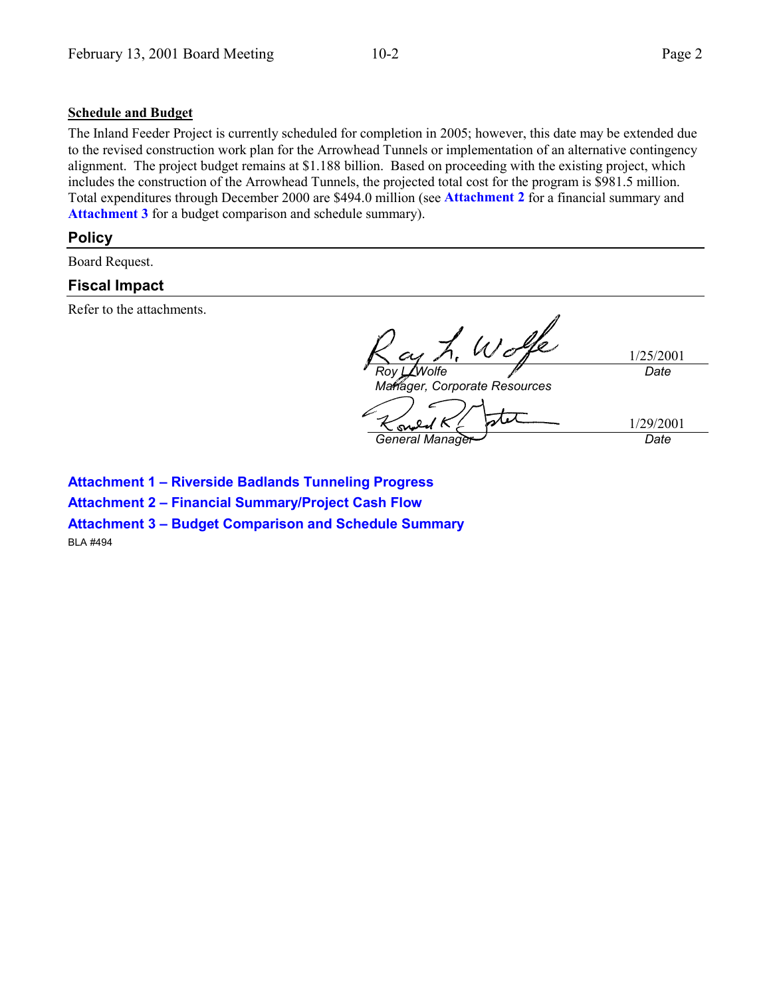### **Schedule and Budget**

The Inland Feeder Project is currently scheduled for completion in 2005; however, this date may be extended due to the revised construction work plan for the Arrowhead Tunnels or implementation of an alternative contingency alignment. The project budget remains at \$1.188 billion. Based on proceeding with the existing project, which includes the construction of the Arrowhead Tunnels, the projected total cost for the program is \$981.5 million. Total expenditures through December 2000 are \$494.0 million (see **Attachment 2** for a financial summary and Attachment 3 for a budget comparison and schedule summary).

## **Policy**

Board Request.

# **Fiscal Impact**

Refer to the attachments.

1/25/2001 *Roy L. Wolfe Date Manager, Corporate Resources* stet 1/29/2001 *General Manager Date*

**Attachment 1 – Riverside Badlands Tunneling Progress Attachment 2 – Financial Summary/Project Cash Flow Attachment 3 – Budget Comparison and Schedule Summary**

BLA #494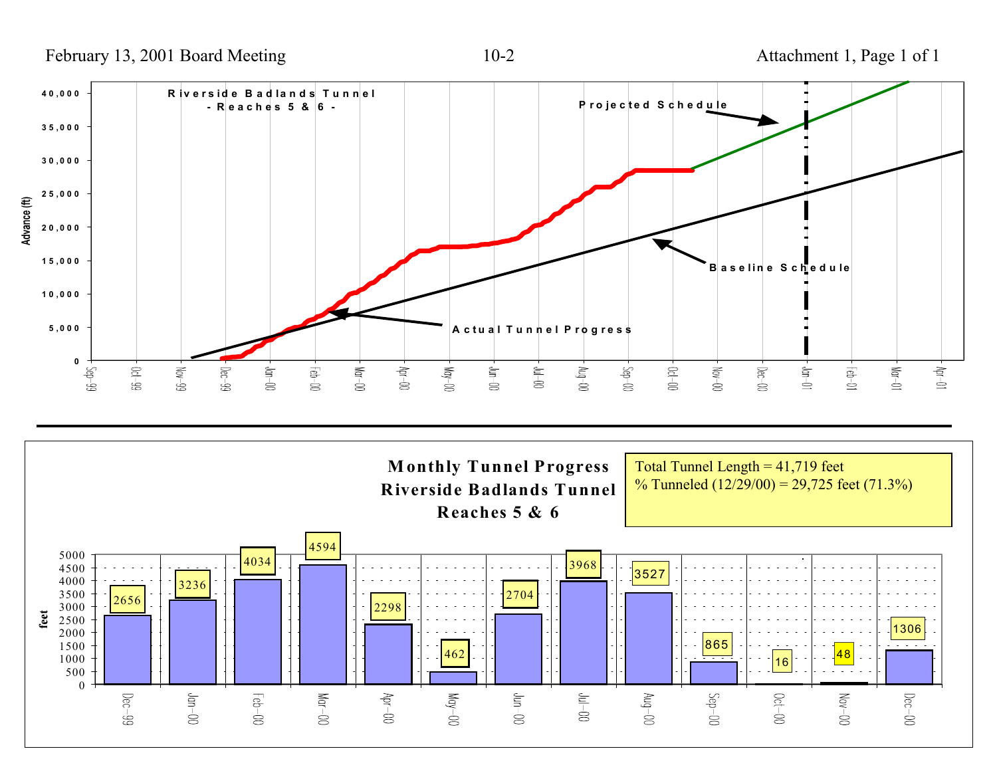February 13, 2001 Board Meeting 10-2 Attachment 1, Page 1 of 1



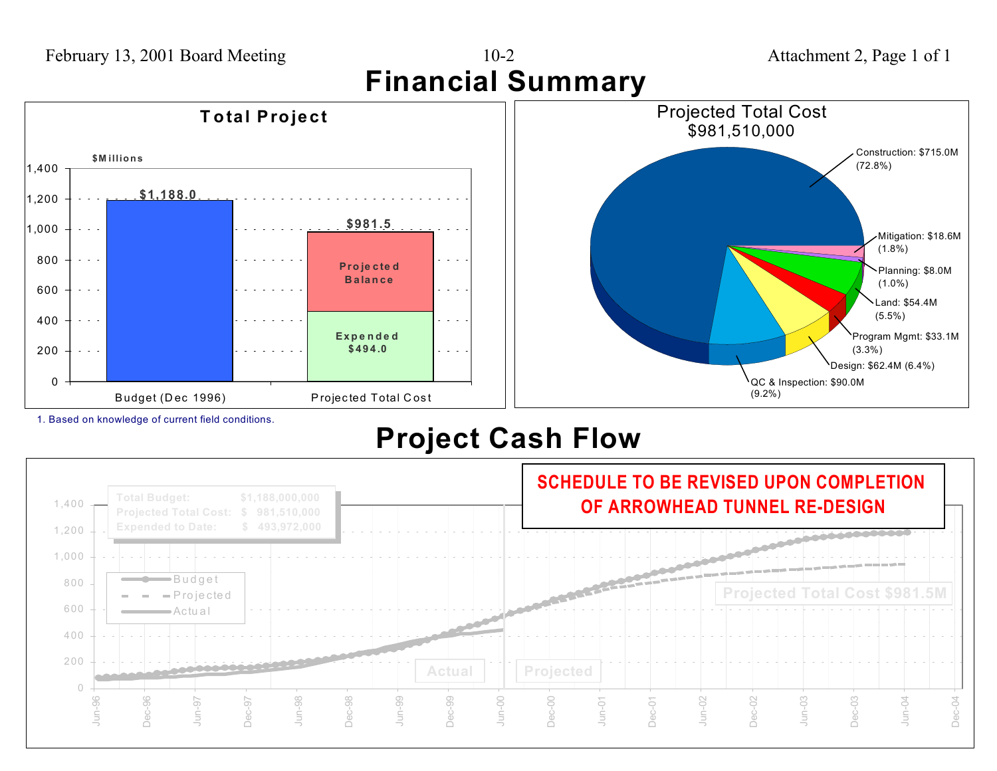

1. Based on knowledge of current field conditions.

# **Project Cash Flow**